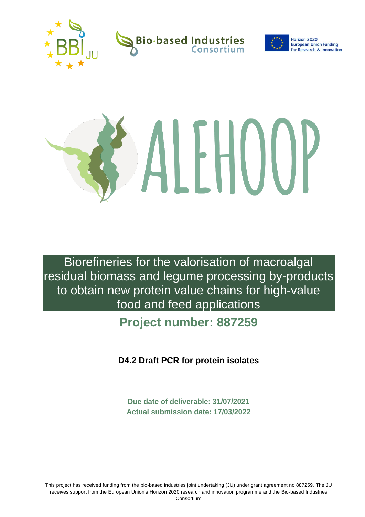



# ALHOUP

Biorefineries for the valorisation of macroalgal residual biomass and legume processing by-products to obtain new protein value chains for high-value food and feed applications

**Project number: 887259**

**D4.2 Draft PCR for protein isolates**

**Due date of deliverable: 31/07/2021 Actual submission date: 17/03/2022**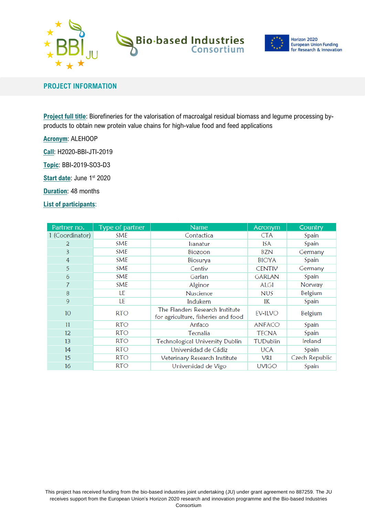

# **Bio-based Industries**<br>
Consortium



## **PROJECT INFORMATION**

**Project full title**: Biorefineries for the valorisation of macroalgal residual biomass and legume processing byproducts to obtain new protein value chains for high-value food and feed applications

**Acronym**: ALEHOOP

**Call**: H2020-BBI-JTI-2019

**Topic**: BBI-2019-SO3-D3

**Start date: June 1st 2020** 

**Duration**: 48 months

**List of participants**:

| Partner no.       | Type of partner | <b>Name</b>                                                            | Acronym       | Country        |
|-------------------|-----------------|------------------------------------------------------------------------|---------------|----------------|
| 1 (Coordinator)   | <b>SME</b>      | Contactica                                                             | <b>CTA</b>    | Spain          |
| 2                 | <b>SME</b>      | Isanatur                                                               | ISA           | Spain          |
| 3                 | <b>SME</b>      | Biozoon                                                                | <b>BZN</b>    | Germany        |
| 4                 | <b>SME</b>      | Biosurya                                                               | <b>BIOYA</b>  | Spain          |
| 5                 | <b>SME</b>      | Centiv                                                                 | CENTIV        | Germany        |
| 6                 | SME             | Garlan                                                                 | <b>GARLAN</b> | Spain          |
|                   | <b>SME</b>      | Alginor                                                                | ALGI          | Norway         |
| 8                 | LE              | Nuscience                                                              | <b>NUS</b>    | Belgium        |
| 9                 | LE              | Indukern                                                               | IK            | Spain          |
| 10 <sup>°</sup>   | <b>RTO</b>      | The Flanders Research Institute<br>for agriculture, fisheries and food | EV-ILVO       | Belgium        |
| 11                | <b>RTO</b>      | Anfaco                                                                 | <b>ANFACO</b> | Spain          |
| $12 \overline{ }$ | <b>RTO</b>      | Tecnalia                                                               | <b>TECNA</b>  | Spain          |
| 13                | <b>RTO</b>      | <b>Technological University Dublin</b>                                 | TUDublin      | Ireland        |
| 14                | <b>RTO</b>      | Universidad de Cádiz                                                   | <b>UCA</b>    | Spain          |
| 15                | <b>RTO</b>      | Veterinary Research Institute                                          | VRI           | Czech Republic |
| 16                | <b>RTO</b>      | Universidad de Vigo                                                    | <b>UVIGO</b>  | Spain          |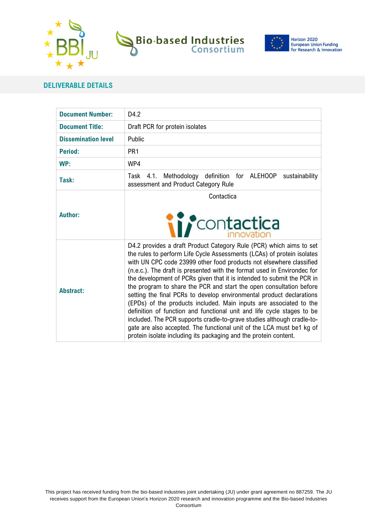



**European Union Funding** for Research & Innovation

## **DELIVERABLE DETAILS**

| <b>Document Number:</b>    | D4.2                                                                                                                                                                                                                                                                                                                                                                                                                                                                                                                                                                                                                                                                                                                                                                                                                                                                                            |  |
|----------------------------|-------------------------------------------------------------------------------------------------------------------------------------------------------------------------------------------------------------------------------------------------------------------------------------------------------------------------------------------------------------------------------------------------------------------------------------------------------------------------------------------------------------------------------------------------------------------------------------------------------------------------------------------------------------------------------------------------------------------------------------------------------------------------------------------------------------------------------------------------------------------------------------------------|--|
| <b>Document Title:</b>     | Draft PCR for protein isolates                                                                                                                                                                                                                                                                                                                                                                                                                                                                                                                                                                                                                                                                                                                                                                                                                                                                  |  |
| <b>Dissemination level</b> | Public                                                                                                                                                                                                                                                                                                                                                                                                                                                                                                                                                                                                                                                                                                                                                                                                                                                                                          |  |
| Period:                    | PR <sub>1</sub>                                                                                                                                                                                                                                                                                                                                                                                                                                                                                                                                                                                                                                                                                                                                                                                                                                                                                 |  |
| WP:                        | WP4                                                                                                                                                                                                                                                                                                                                                                                                                                                                                                                                                                                                                                                                                                                                                                                                                                                                                             |  |
| Task:                      | 4.1. Methodology definition for ALEHOOP<br>sustainability<br>Task<br>assessment and Product Category Rule                                                                                                                                                                                                                                                                                                                                                                                                                                                                                                                                                                                                                                                                                                                                                                                       |  |
| <b>Author:</b>             | Contactica<br><i>ii r</i> contactica                                                                                                                                                                                                                                                                                                                                                                                                                                                                                                                                                                                                                                                                                                                                                                                                                                                            |  |
| <b>Abstract:</b>           | D4.2 provides a draft Product Category Rule (PCR) which aims to set<br>the rules to perform Life Cycle Assessments (LCAs) of protein isolates<br>with UN CPC code 23999 other food products not elsewhere classified<br>(n.e.c.). The draft is presented with the format used in Environdec for<br>the development of PCRs given that it is intended to submit the PCR in<br>the program to share the PCR and start the open consultation before<br>setting the final PCRs to develop environmental product declarations<br>(EPDs) of the products included. Main inputs are associated to the<br>definition of function and functional unit and life cycle stages to be<br>included. The PCR supports cradle-to-grave studies although cradle-to-<br>gate are also accepted. The functional unit of the LCA must be1 kg of<br>protein isolate including its packaging and the protein content. |  |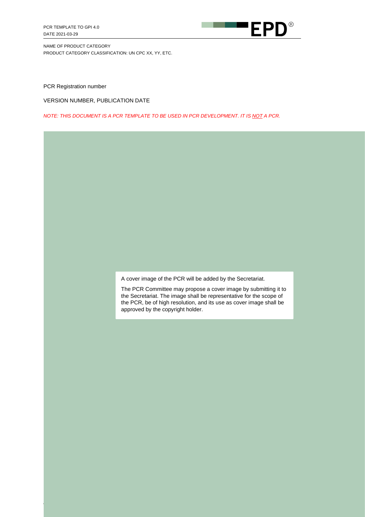

PCR Registration number

VERSION NUMBER, PUBLICATION DATE

*NOTE: THIS DOCUMENT IS A PCR TEMPLATE TO BE USED IN PCR DEVELOPMENT. IT IS NOT A PCR.*

A cover image of the PCR will be added by the Secretariat.

The PCR Committee may propose a cover image by submitting it to the Secretariat. The image shall be representative for the scope of the PCR, be of high resolution, and its use as cover image shall be approved by the copyright holder.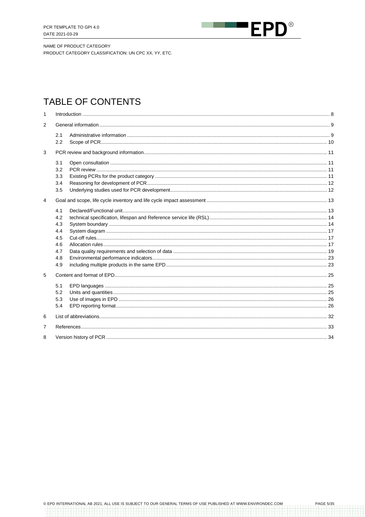

NAME OF PRODUCT CATEGORY

PRODUCT CATEGORY CLASSIFICATION: UN CPC XX, YY, ETC.

# TABLE OF CONTENTS

| $\mathbf{1}$   |                                                             |  |
|----------------|-------------------------------------------------------------|--|
| $\overline{2}$ |                                                             |  |
|                | 2.1<br>2.2                                                  |  |
| 3              |                                                             |  |
|                | 3.1<br>3.2<br>3.3<br>3.4<br>3.5                             |  |
| $\overline{4}$ |                                                             |  |
|                | 4.1<br>4.2<br>4.3<br>4.4<br>4.5<br>4.6<br>4.7<br>4.8<br>4.9 |  |
| 5              |                                                             |  |
|                | 5.1<br>5.2<br>5.3<br>5.4                                    |  |
| 6              |                                                             |  |
| 7              |                                                             |  |
| 8              |                                                             |  |

an barang

1999 - 1999 - 1999<br>1999 - 1999 - 1999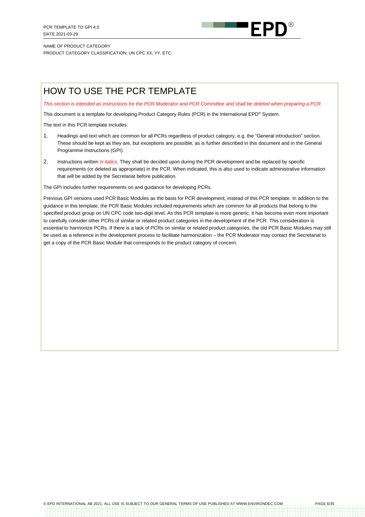

# HOW TO USE THE PCR TEMPLATE

*This section is intended as instructions for the PCR Moderator and PCR Committee and shall be deleted when preparing a PCR.*

This document is a template for developing Product Category Rules (PCR) in the International EPD® System.

The text in this PCR template includes:

- 1. Headings and text which are common for all PCRs regardless of product category, e.g. the "General introduction" section. These should be kept as they are, but exceptions are possible, as is further described in this document and in the General Programme Instructions (GPI).
- 2. Instructions written *in italics.* They shall be decided upon during the PCR development and be replaced by specific requirements (or deleted as appropriate) in the PCR. When indicated, this is also used to indicate administrative information that will be added by the Secretariat before publication.

The GPI includes further requirements on and guidance for developing PCRs.

Previous GPI versions used PCR Basic Modules as the basis for PCR development, instead of this PCR template. In addition to the guidance in this template, the PCR Basic Modules included requirements which are common for all products that belong to the specified product group on UN CPC code two-digit level. As this PCR template is more generic, it has become even more important to carefully consider other PCRs of similar or related product categories in the development of the PCR. This consideration is essential to harmonize PCRs. If there is a lack of PCRs on similar or related product categories, the old PCR Basic Modules may still be used as a reference in the development process to facilitate harmonization – the PCR Moderator may contact the Secretariat to get a copy of the PCR Basic Module that corresponds to the product category of concern.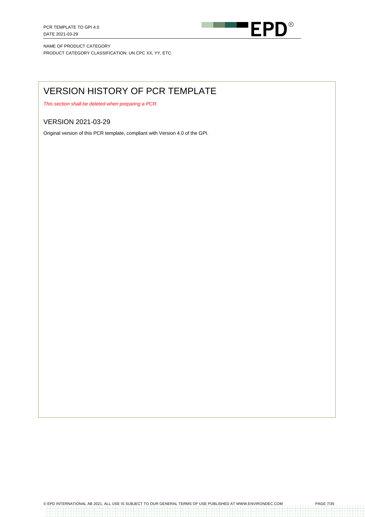

# VERSION HISTORY OF PCR TEMPLATE

*This section shall be deleted when preparing a PCR.*

## VERSION 2021-03-29

Original version of this PCR template, compliant with Version 4.0 of the GPI.

anasanasan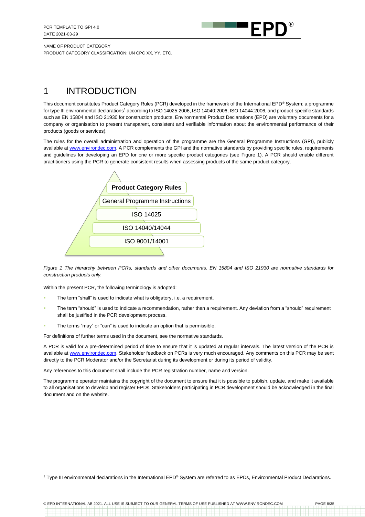

# <span id="page-7-0"></span>1 INTRODUCTION

This document constitutes Product Category Rules (PCR) developed in the framework of the International EPD® System: a programme for type III environmental declarations<sup>1</sup> according to ISO 14025:2006, ISO 14040:2006, ISO 14044:2006, and product-specific standards such as EN 15804 and ISO 21930 for construction products. Environmental Product Declarations (EPD) are voluntary documents for a company or organisation to present transparent, consistent and verifiable information about the environmental performance of their products (goods or services).

The rules for the overall administration and operation of the programme are the General Programme Instructions (GPI), publicly available a[t www.environdec.com.](http://www.environdec.com/) A PCR complements the GPI and the normative standards by providing specific rules, requirements and guidelines for developing an EPD for one or more specific product categories (see [Figure 1\)](#page-7-1). A PCR should enable different practitioners using the PCR to generate consistent results when assessing products of the same product category.



<span id="page-7-1"></span>*Figure 1 The hierarchy between PCRs, standards and other documents. EN 15804 and ISO 21930 are normative standards for construction products only.*

Within the present PCR, the following terminology is adopted:

- The term "shall" is used to indicate what is obligatory, i.e. a requirement.
- The term "should" is used to indicate a recommendation, rather than a requirement. Any deviation from a "should" requirement shall be justified in the PCR development process.
- The terms "may" or "can" is used to indicate an option that is permissible.

For definitions of further terms used in the document, see the normative standards.

A PCR is valid for a pre-determined period of time to ensure that it is updated at regular intervals. The latest version of the PCR is available at [www.environdec.com.](http://www.environdec.com/) Stakeholder feedback on PCRs is very much encouraged. Any comments on this PCR may be sent directly to the PCR Moderator and/or the Secretariat during its development or during its period of validity.

Any references to this document shall include the PCR registration number, name and version.

The programme operator maintains the copyright of the document to ensure that it is possible to publish, update, and make it available to all organisations to develop and register EPDs. Stakeholders participating in PCR development should be acknowledged in the final document and on the website.

© EPD INTERNATIONAL AB 2021. ALL USE IS SUBJECT TO OUR GENERAL TERMS OF USE PUBLISHED AT WWW.ENVIRONDEC.COM PAGE 8/35

<sup>&</sup>lt;sup>1</sup> Type III environmental declarations in the International EPD<sup>®</sup> System are referred to as EPDs. Environmental Product Declarations.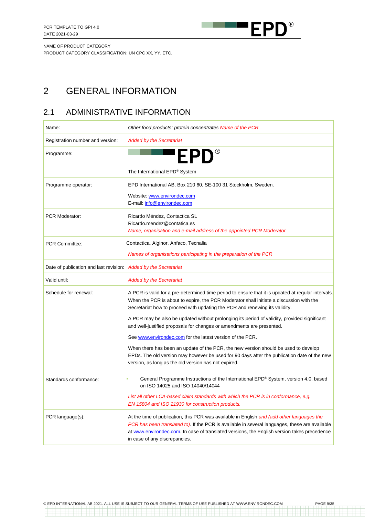

# <span id="page-8-0"></span>2 GENERAL INFORMATION

# <span id="page-8-1"></span>2.1 ADMINISTRATIVE INFORMATION

| Name:                                  | Other food products: protein concentrates Name of the PCR                                                                                                                                                                                                                                                                    |
|----------------------------------------|------------------------------------------------------------------------------------------------------------------------------------------------------------------------------------------------------------------------------------------------------------------------------------------------------------------------------|
| Registration number and version:       | <b>Added by the Secretariat</b>                                                                                                                                                                                                                                                                                              |
| Programme:                             | 'EPD®                                                                                                                                                                                                                                                                                                                        |
|                                        | The International EPD® System                                                                                                                                                                                                                                                                                                |
| Programme operator:                    | EPD International AB, Box 210 60, SE-100 31 Stockholm, Sweden.                                                                                                                                                                                                                                                               |
|                                        | Website: www.environdec.com<br>E-mail: info@environdec.com                                                                                                                                                                                                                                                                   |
| <b>PCR Moderator:</b>                  | Ricardo Méndez, Contactica SL<br>Ricardo.mendez@contatica.es                                                                                                                                                                                                                                                                 |
|                                        | Name, organisation and e-mail address of the appointed PCR Moderator                                                                                                                                                                                                                                                         |
| <b>PCR Committee:</b>                  | Contactica, Alginor, Anfaco, Tecnalia                                                                                                                                                                                                                                                                                        |
|                                        | Names of organisations participating in the preparation of the PCR                                                                                                                                                                                                                                                           |
| Date of publication and last revision: | <b>Added by the Secretariat</b>                                                                                                                                                                                                                                                                                              |
| Valid until:                           | <b>Added by the Secretariat</b>                                                                                                                                                                                                                                                                                              |
| Schedule for renewal:                  | A PCR is valid for a pre-determined time period to ensure that it is updated at regular intervals.<br>When the PCR is about to expire, the PCR Moderator shall initiate a discussion with the<br>Secretariat how to proceed with updating the PCR and renewing its validity.                                                 |
|                                        | A PCR may be also be updated without prolonging its period of validity, provided significant<br>and well-justified proposals for changes or amendments are presented.                                                                                                                                                        |
|                                        | See www.environdec.com for the latest version of the PCR.                                                                                                                                                                                                                                                                    |
|                                        | When there has been an update of the PCR, the new version should be used to develop<br>EPDs. The old version may however be used for 90 days after the publication date of the new<br>version, as long as the old version has not expired.                                                                                   |
| Standards conformance:                 | General Programme Instructions of the International EPD® System, version 4.0, based<br>on ISO 14025 and ISO 14040/14044                                                                                                                                                                                                      |
|                                        | List all other LCA-based claim standards with which the PCR is in conformance, e.g.<br>EN 15804 and ISO 21930 for construction products.                                                                                                                                                                                     |
| PCR language(s):                       | At the time of publication, this PCR was available in English and (add other languages the<br>PCR has been translated to). If the PCR is available in several languages, these are available<br>at www.environdec.com. In case of translated versions, the English version takes precedence<br>in case of any discrepancies. |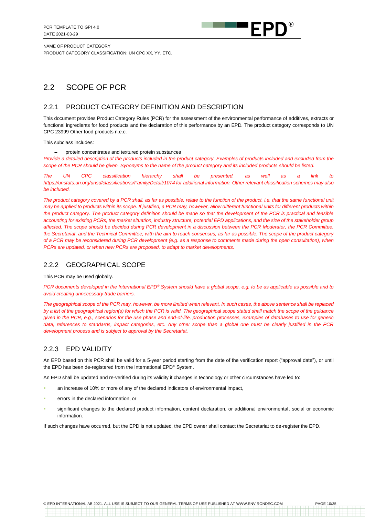

# <span id="page-9-0"></span>2.2 SCOPE OF PCR

#### <span id="page-9-1"></span>2.2.1 PRODUCT CATEGORY DEFINITION AND DESCRIPTION

This document provides Product Category Rules (PCR) for the assessment of the environmental performance of additives, extracts or functional ingredients for food products and the declaration of this performance by an EPD*.* The product category corresponds to UN CPC 23999 Other food products n.e.c.

This subclass includes:

− protein concentrates and textured protein substances

*Provide a detailed description of the products included in the product category. Examples of products included and excluded from the scope of the PCR should be given. Synonyms to the name of the product category and its included products should be listed.*

*The UN CPC classification hierarchy shall be presented, as well as a link to https://unstats.un.org/unsd/classifications/Family/Detail/1074 for additional information. Other relevant classification schemes may also be included.*

The product category covered by a PCR shall, as far as possible, relate to the function of the product, i.e. that the same functional unit *may be applied to products within its scope. If justified, a PCR may, however, allow different functional units for different products within the product category. The product category definition should be made so that the development of the PCR is practical and feasible accounting for existing PCRs, the market situation, industry structure, potential EPD applications, and the size of the stakeholder group affected. The scope should be decided during PCR development in a discussion between the PCR Moderator, the PCR Committee, the Secretariat, and the Technical Committee, with the aim to reach consensus, as far as possible. The scope of the product category of a PCR may be reconsidered during PCR development (e.g. as a response to comments made during the open consultation), when PCRs are updated, or when new PCRs are proposed, to adapt to market developments.*

#### 2.2.2 GEOGRAPHICAL SCOPE

This PCR may be used globally.

*PCR documents developed in the International EPD® System should have a global scope, e.g. to be as applicable as possible and to avoid creating unnecessary trade barriers.*

*The geographical scope of the PCR may, however, be more limited when relevant. In such cases, the above sentence shall be replaced by a list of the geographical region(s) for which the PCR is valid. The geographical scope stated shall match the scope of the guidance given in the PCR, e.g., scenarios for the use phase and end-of-life, production processes, examples of databases to use for generic data, references to standards, impact categories, etc. Any other scope than a global one must be clearly justified in the PCR development process and is subject to approval by the Secretariat.*

## 2.2.3 EPD VALIDITY

An EPD based on this PCR shall be valid for a 5-year period starting from the date of the verification report ("approval date"), or until the EPD has been de-registered from the International EPD® System.

An EPD shall be updated and re-verified during its validity if changes in technology or other circumstances have led to:

- an increase of 10% or more of any of the declared indicators of environmental impact,
- errors in the declared information, or
- significant changes to the declared product information, content declaration, or additional environmental, social or economic information.

If such changes have occurred, but the EPD is not updated, the EPD owner shall contact the Secretariat to de-register the EPD.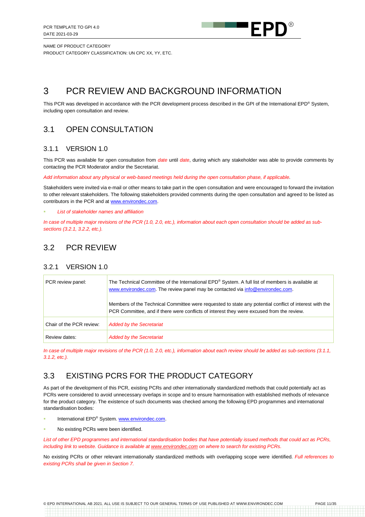

# <span id="page-10-0"></span>3 PCR REVIEW AND BACKGROUND INFORMATION

This PCR was developed in accordance with the PCR development process described in the GPI of the International EPD® System, including open consultation and review.

# <span id="page-10-1"></span>3.1 OPEN CONSULTATION

#### 3.1.1 VERSION 1.0

This PCR was available for open consultation from *date* until *date*, during which any stakeholder was able to provide comments by contacting the PCR Moderator and/or the Secretariat.

*Add information about any physical or web-based meetings held during the open consultation phase, if applicable.*

Stakeholders were invited via e-mail or other means to take part in the open consultation and were encouraged to forward the invitation to other relevant stakeholders. The following stakeholders provided comments during the open consultation and agreed to be listed as contributors in the PCR and at [www.environdec.com.](http://www.environdec.com/)

**List of stakeholder names and affiliation** 

*In case of multiple major revisions of the PCR (1.0, 2.0, etc.), information about each open consultation should be added as subsections (3.2.1, 3.2.2, etc.).*

# <span id="page-10-2"></span>3.2 PCR REVIEW

## 3.2.1 VERSION 1.0

| PCR review panel:        | The Technical Committee of the International EPD® System. A full list of members is available at<br>www.environdec.com. The review panel may be contacted via info@environdec.com.                  |
|--------------------------|-----------------------------------------------------------------------------------------------------------------------------------------------------------------------------------------------------|
|                          | Members of the Technical Committee were requested to state any potential conflict of interest with the<br>PCR Committee, and if there were conflicts of interest they were excused from the review. |
| Chair of the PCR review: | <b>Added by the Secretariat</b>                                                                                                                                                                     |
| Review dates:            | <b>Added by the Secretariat</b>                                                                                                                                                                     |

*In case of multiple major revisions of the PCR (1.0, 2.0, etc.), information about each review should be added as sub-sections (3.1.1, 3.1.2, etc.).*

# <span id="page-10-3"></span>3.3 EXISTING PCRS FOR THE PRODUCT CATEGORY

As part of the development of this PCR, existing PCRs and other internationally standardized methods that could potentially act as PCRs were considered to avoid unnecessary overlaps in scope and to ensure harmonisation with established methods of relevance for the product category. The existence of such documents was checked among the following EPD programmes and international standardisation bodies:

- International EPD® System. www.environdec.com.
- No existing PCRs were been identified.

*List of other EPD programmes and international standardisation bodies that have potentially issued methods that could act as PCRs, including link to website. Guidance is available a[t www.environdec.com](http://www.environdec.com/) on where to search for existing PCRs.*

No existing PCRs or other relevant internationally standardized methods with overlapping scope were identified. *Full references to existing PCRs shall be given in Section [7.](#page-32-0)*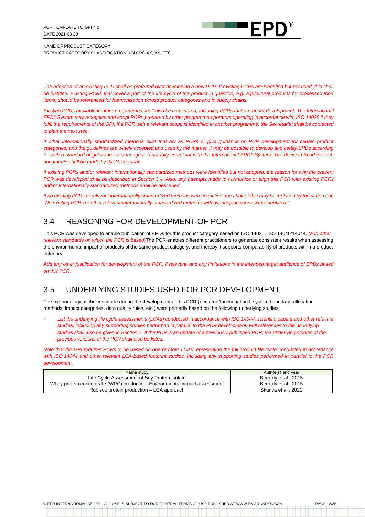

*The adoption of an existing PCR shall be preferred over developing a new PCR. If existing PCRs are identified but not used, this shall be justified. Existing PCRs that cover a part of the life cycle of the product in question, e.g. agricultural products for processed food items, should be referenced for harmonisation across product categories and in supply chains.* 

*Existing PCRs available in other programmes shall also be considered, including PCRs that are under development. The International EPD® System may recognise and adopt PCRs prepared by other programme operators operating in accordance with ISO 14025 if they*  fulfil the requirements of the GPI. If a PCR with a relevant scope is identified in another programme, the Secretariat shall be contacted *to plan the next step.*

*If other internationally standardized methods exist that act as PCRs or give guidance on PCR development for certain product categories, and the guidelines are widely accepted and used by the market, it may be possible to develop and certify EPDs according to such a standard or guideline even though it is not fully compliant with the International EPD® System. The decision to adopt such documents shall be made by the Secretariat.*

*If existing PCRs and/or relevant internationally standardized methods were identified but not adopted, the reason for why the present PCR was developed shall be described in Section 3.4. Also, any attempts made to harmonize or align this PCR with existing PCRs and/or internationally standardized methods shall be described.*

*If no existing PCRs or relevant internationally standardized methods were identified, the above table may be replaced by the statement: "No existing PCRs or other relevant internationally standardized methods with overlapping scope were identified."*

# <span id="page-11-0"></span>3.4 REASONING FOR DEVELOPMENT OF PCR

This PCR was developed to enable publication of EPDs for this product category based on ISO 14025, ISO 14040/14044. *(add other relevant standards on which the PCR is based*)The PCR enables different practitioners to generate consistent results when assessing the environmental impact of products of the same product category, and thereby it supports comparability of products within a product category.

*Add any other justification for development of the PCR, if relevant, and any limitations in the intended target audience of EPDs based on this PCR.*

# <span id="page-11-1"></span>3.5 UNDERLYING STUDIES USED FOR PCR DEVELOPMENT

The methodological choices made during the development of this PCR (declared/functional unit, system boundary, allocation methods, impact categories, data quality rules, etc.) were primarily based on the following underlying studies:

List the underlying life cycle assessments (LCAs) conducted in accordance with ISO 14044, scientific papers and other relevant *studies, including any supporting studies performed in parallel to the PCR development. Full references to the underlying studies shall also be given in Section [7.](#page-32-0) If the PCR is an update of a previously published PCR, the underlying studies of the previous versions of the PCR shall also be listed.*

*Note that the GPI requires PCRs to be based on one or more LCAs representing the full product life cycle conducted in accordance with ISO 14044 and other relevant LCA-based footprint studies, including any supporting studies performed in parallel to the PCR development.*

| Name study                                                                 | Author(s) and year   |
|----------------------------------------------------------------------------|----------------------|
| Life Cycle Assessment of Sov Protein Isolate                               | Berardy et al., 2015 |
| Whey protein concentrate (WPC) production: Environmental impact assessment | Berardy et al., 2015 |
| Rubisco protein production – LCA approach                                  | Skunca et al., 2021  |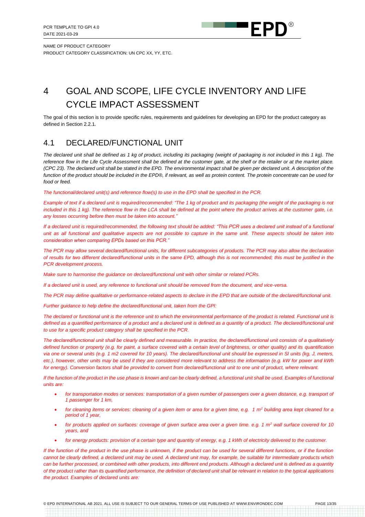

# <span id="page-12-0"></span>4 GOAL AND SCOPE, LIFE CYCLE INVENTORY AND LIFE CYCLE IMPACT ASSESSMENT

The goal of this section is to provide specific rules, requirements and guidelines for developing an EPD for the product category as defined in Section [2.2.1.](#page-9-1)

## <span id="page-12-1"></span>4.1 DECLARED/FUNCTIONAL UNIT

*The declared unit shall be defined as 1 kg of product, including its packaging (weight of packaging is not included in this 1 kg). The reference flow in the Life Cycle Assessment shall be defined at the customer gate, at the shelf or the retailer or at the market place. (CPC 23). The declared unit shall be stated in the EPD. The environmental impact shall be given per declared unit. A description of the function of the product should be included in the EPD®, if relevant, as well as protein content. The protein concentrate can be used for food or feed.*

#### *The functional/declared unit(s) and reference flow(s) to use in the EPD shall be specified in the PCR.*

*Example of text if a declared unit is required/recommended: "The 1 kg of product and its packaging (the weight of the packaging is not included in this 1 kg). The reference flow in the LCA shall be defined at the point where the product arrives at the customer gate, i.e. any losses occurring before then must be taken into account."*

*If a declared unit is required/recommended, the following text should be added: "This PCR uses a declared unit instead of a functional unit as all functional and qualitative aspects are not possible to capture in the same unit. These aspects should be taken into consideration when comparing EPDs based on this PCR."*

*The PCR may allow several declared/functional units, for different subcategories of products. The PCR may also allow the declaration of results for two different declared/functional units in the same EPD, although this is not recommended; this must be justified in the PCR development process.*

*Make sure to harmonise the guidance on declared/functional unit with other similar or related PCRs.*

*If a declared unit is used, any reference to functional unit should be removed from the document, and vice-versa.*

*The PCR may define qualitative or performance-related aspects to declare in the EPD that are outside of the declared/functional unit.*

*Further guidance to help define the declared/functional unit, taken from the GPI:*

*The declared or functional unit is the reference unit to which the environmental performance of the product is related. Functional unit is*  defined as a quantified performance of a product and a declared unit is defined as a quantity of a product. The declared/functional unit *to use for a specific product category shall be specified in the PCR.*

*The declared/functional unit shall be clearly defined and measurable. In practice, the declared/functional unit consists of a qualitatively defined function or property (e.g. for paint, a surface covered with a certain level of brightness, or other quality) and its quantification via one or several units (e.g. 1 m2 covered for 10 years). The declared/functional unit should be expressed in SI units (kg, J, meters, etc.), however, other units may be used if they are considered more relevant to address the information (e.g. kW for power and kWh for energy). Conversion factors shall be provided to convert from declared/functional unit to one unit of product, where relevant.*

If the function of the product in the use phase is known and can be clearly defined, a functional unit shall be used. Examples of functional *units are:*

- for transportation modes or services: transportation of a given number of passengers over a given distance, e.g. transport of *1 passenger for 1 km,*
- *for cleaning items or services: cleaning of a given item or area for a given time, e.g. 1 m<sup>2</sup> building area kept cleaned for a period of 1 year,*
- *for products applied on surfaces: coverage of given surface area over a given time. e.g. 1 m<sup>2</sup> wall surface covered for 10 years, and*
- *for energy products: provision of a certain type and quantity of energy, e.g. 1 kWh of electricity delivered to the customer.*

*If the function of the product in the use phase is unknown, if the product can be used for several different functions, or if the function cannot be clearly defined, a declared unit may be used. A declared unit may, for example, be suitable for intermediate products which can be further processed, or combined with other products, into different end products. Although a declared unit is defined as a quantity of the product rather than its quantified performance, the definition of declared unit shall be relevant in relation to the typical applications the product. Examples of declared units are:*

© EPD INTERNATIONAL AB 2021. ALL USE IS SUBJECT TO OUR GENERAL TERMS OF USE PUBLISHED AT WWW.ENVIRONDEC.COM PAGE 13/35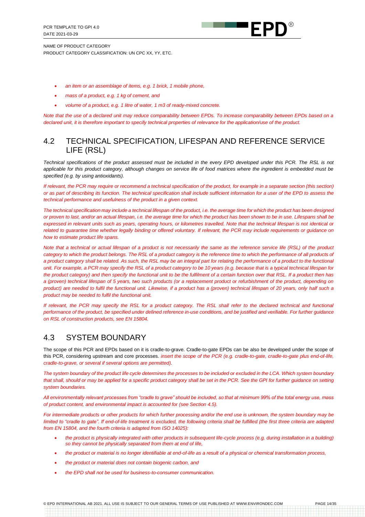

- *an item or an assemblage of items, e.g. 1 brick, 1 mobile phone,*
- *mass of a product, e.g. 1 kg of cement, and*
- *volume of a product, e.g. 1 litre of water, 1 m3 of ready-mixed concrete.*

*Note that the use of a declared unit may reduce comparability between EPDs. To increase comparability between EPDs based on a declared unit, it is therefore important to specify technical properties of relevance for the application/use of the product.*

## <span id="page-13-0"></span>4.2 TECHNICAL SPECIFICATION, LIFESPAN AND REFERENCE SERVICE LIFE (RSL)

*Technical specifications of the product assessed must be included in the every EPD developed under this PCR. The RSL is not applicable for this product category, although changes on service life of food matrices where the ingredient is embedded must be specified (e.g. by using antioxidants).*

*If relevant, the PCR may require or recommend a technical specification of the product, for example in a separate section (this section) or as part of describing its function. The technical specification shall include sufficient information for a user of the EPD to assess the technical performance and usefulness of the product in a given context.* 

*The technical specification may include a technical lifespan of the product, i.e. the average time for which the product has been designed or proven to last, and/or an actual lifespan, i.e. the average time for which the product has been shown to be in use. Lifespans shall be expressed in relevant units such as years, operating hours, or kilometres travelled. Note that the technical lifespan is not identical or related to guarantee time whether legally binding or offered voluntary. If relevant, the PCR may include requirements or guidance on how to estimate product life spans.*

*Note that a technical or actual lifespan of a product is not necessarily the same as the reference service life (RSL) of the product*  category to which the product belongs. The RSL of a product category is the reference time to which the performance of all products of *a product category shall be related. As such, the RSL may be an integral part for relating the performance of a product to the functional unit. For example, a PCR may specify the RSL of a product category to be 10 years (e.g. because that is a typical technical lifespan for the product category) and then specify the functional unit to be the fulfilment of a certain function over that RSL. If a product then has a (proven) technical lifespan of 5 years, two such products (or a replacement product or refurbishment of the product, depending on product) are needed to fulfil the functional unit. Likewise, if a product has a (proven) technical lifespan of 20 years, only half such a product may be needed to fulfil the functional unit.* 

*If relevant, the PCR may specify the RSL for a product category. The RSL shall refer to the declared technical and functional performance of the product, be specified under defined reference in-use conditions, and be justified and verifiable. For further guidance on RSL of construction products, see EN 15804.*

## <span id="page-13-1"></span>4.3 SYSTEM BOUNDARY

The scope of this PCR and EPDs based on it is cradle-to-grave. Cradle-to-gate EPDs can be also be developed under the scope of this PCR, considering upstream and core processes. *insert the scope of the PCR (e.g. cradle-to-gate, cradle-to-gate plus end-of-life, cradle-to-grave, or several if several options are permitted)*.

*The system boundary of the product life cycle determines the processes to be included or excluded in the LCA. Which system boundary that shall, should or may be applied for a specific product category shall be set in the PCR. See the GPI for further guidance on setting system boundaries.*

*All environmentally relevant processes from "cradle to grave" should be included, so that at minimum 99% of the total energy use, mass of product content, and environmental impact is accounted for (see Sectio[n 4.5\)](#page-16-1).* 

*For intermediate products or other products for which further processing and/or the end use is unknown, the system boundary may be limited to "cradle to gate". If end-of-life treatment is excluded, the following criteria shall be fulfilled (the first three criteria are adapted from EN 15804, and the fourth criteria is adapted from ISO 14025):*

- *the product is physically integrated with other products in subsequent life-cycle process (e.g. during installation in a building) so they cannot be physically separated from them at end of life,*
- *the product or material is no longer identifiable at end-of-life as a result of a physical or chemical transformation process,*
- *the product or material does not contain biogenic carbon, and*
- *the EPD shall not be used for business-to-consumer communication.*

© EPD INTERNATIONAL AB 2021. ALL USE IS SUBJECT TO OUR GENERAL TERMS OF USE PUBLISHED AT WWW.ENVIRONDEC.COM PAGE 14/35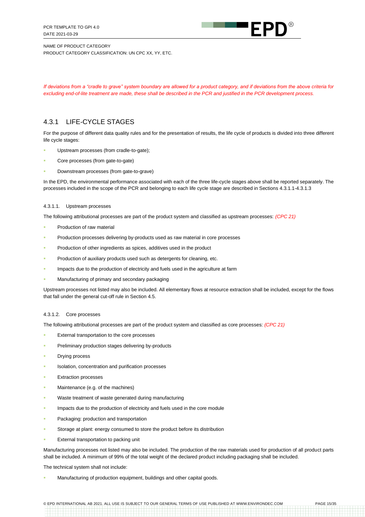

NAME OF PRODUCT CATEGORY

PRODUCT CATEGORY CLASSIFICATION: UN CPC XX, YY, ETC.

*If deviations from a "cradle to grave" system boundary are allowed for a product category, and if deviations from the above criteria for excluding end-of-lite treatment are made, these shall be described in the PCR and justified in the PCR development process.*

## <span id="page-14-2"></span>4.3.1 LIFE-CYCLE STAGES

For the purpose of different data quality rules and for the presentation of results, the life cycle of products is divided into three different life cycle stages:

- Upstream processes (from cradle-to-gate);
- Core processes (from gate-to-gate)
- Downstream processes (from gate-to-grave)

In the EPD, the environmental performance associated with each of the three life-cycle stages above shall be reported separately. The processes included in the scope of the PCR and belonging to each life cycle stage are described in Sections [4.3.1.1](#page-14-0)[-4.3.1.3](#page-15-0)

#### <span id="page-14-0"></span>4.3.1.1. Upstream processes

The following attributional processes are part of the product system and classified as upstream processes: *(CPC 21)*

- Production of raw material
- Production processes delivering by-products used as raw material in core processes
- Production of other ingredients as spices, additives used in the product
- Production of auxiliary products used such as detergents for cleaning, etc.
- Impacts due to the production of electricity and fuels used in the agriculture at farm
- Manufacturing of primary and secondary packaging

Upstream processes not listed may also be included. All elementary flows at resource extraction shall be included, except for the flows that fall under the general cut-off rule in Section [4.5.](#page-16-1)

#### <span id="page-14-1"></span>4.3.1.2. Core processes

The following attributional processes are part of the product system and classified as core processes: *(CPC 21)*

- External transportation to the core processes
- Preliminary production stages delivering by-products
- **Drying process**
- Isolation, concentration and purification processes
- **Extraction processes**
- Maintenance (e.g. of the machines)
- Waste treatment of waste generated during manufacturing
- Impacts due to the production of electricity and fuels used in the core module
- Packaging: production and transportation
- Storage at plant: energy consumed to store the product before its distribution
- External transportation to packing unit

Manufacturing processes not listed may also be included. The production of the raw materials used for production of all product parts shall be included. A minimum of 99% of the total weight of the declared product including packaging shall be included.

The technical system shall not include:

Manufacturing of production equipment, buildings and other capital goods.

© EPD INTERNATIONAL AB 2021. ALL USE IS SUBJECT TO OUR GENERAL TERMS OF USE PUBLISHED AT WWW.ENVIRONDEC.COM PAGE 15/35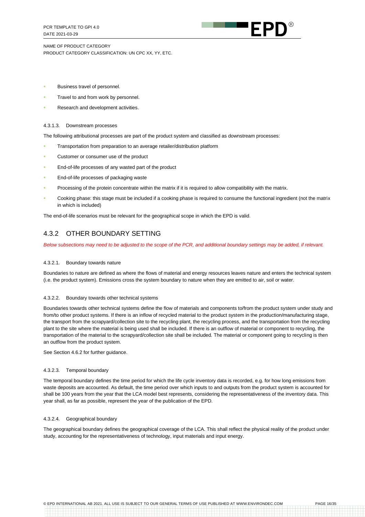

- Business travel of personnel.
- Travel to and from work by personnel.
- Research and development activities.

#### <span id="page-15-0"></span>4.3.1.3. Downstream processes

The following attributional processes are part of the product system and classified as downstream processes:

- Transportation from preparation to an average retailer/distribution platform
- Customer or consumer use of the product
- End-of-life processes of any wasted part of the product
- End-of-life processes of packaging waste
- Processing of the protein concentrate within the matrix if it is required to allow compatibility with the matrix.
- Cooking phase: this stage must be included if a cooking phase is required to consume the functional ingredient (not the matrix in which is included)

The end-of-life scenarios must be relevant for the geographical scope in which the EPD is valid.

#### 4.3.2 OTHER BOUNDARY SETTING

*Below subsections may need to be adjusted to the scope of the PCR, and additional boundary settings may be added, if relevant.*

#### 4.3.2.1. Boundary towards nature

Boundaries to nature are defined as where the flows of material and energy resources leaves nature and enters the technical system (i.e. the product system). Emissions cross the system boundary to nature when they are emitted to air, soil or water.

#### 4.3.2.2. Boundary towards other technical systems

Boundaries towards other technical systems define the flow of materials and components to/from the product system under study and from/to other product systems. If there is an inflow of recycled material to the product system in the production/manufacturing stage, the transport from the scrapyard/collection site to the recycling plant, the recycling process, and the transportation from the recycling plant to the site where the material is being used shall be included. If there is an outflow of material or component to recycling, the transportation of the material to the scrapyard/collection site shall be included. The material or component going to recycling is then an outflow from the product system.

See Section [4.6.2](#page-17-0) for further guidance.

#### 4.3.2.3. Temporal boundary

The temporal boundary defines the time period for which the life cycle inventory data is recorded, e.g. for how long emissions from waste deposits are accounted. As default, the time period over which inputs to and outputs from the product system is accounted for shall be 100 years from the year that the LCA model best represents, considering the representativeness of the inventory data. This year shall, as far as possible, represent the year of the publication of the EPD.

#### 4.3.2.4. Geographical boundary

The geographical boundary defines the geographical coverage of the LCA. This shall reflect the physical reality of the product under study, accounting for the representativeness of technology, input materials and input energy.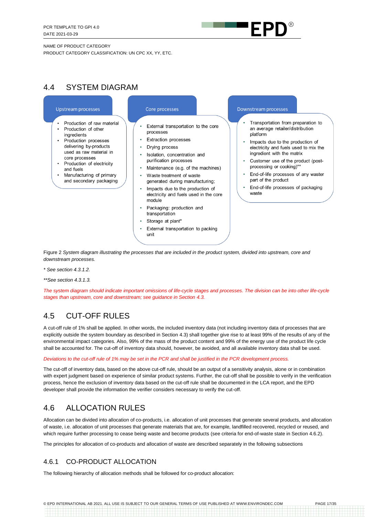

#### NAME OF PRODUCT CATEGORY

PRODUCT CATEGORY CLASSIFICATION: UN CPC XX, YY, ETC.

# <span id="page-16-0"></span>4.4 SYSTEM DIAGRAM

#### **Upstream processes**

- Production of raw material Production of other
- ingredients Production processes delivering by-products used as raw material in
- core processes • Production of electricity and fuels
- Manufacturing of primary and secondary packaging

#### Core processes

- External transportation to the core processes
- Extraction processes
- Drving process
- Isolation, concentration and purification processes
- Maintenance (e.g. of the machines)
- Waste treatment of waste generated during manufacturing;
- Impacts due to the production of electricity and fuels used in the core module
- Packaging: production and transportation
- Storage at plant\*
- External transportation to packing

#### Downstream processes

- Transportation from preparation to an average retailer/distribution platform
- Impacts due to the production of electricity and fuels used to mix the ingredient with the matrix
- Customer use of the product (postprocessing or cooking)\*\*
- End-of-life processes of any waster part of the product
- End-of-life processes of packaging waste

Figure 2 *System diagram illustrating the processes that are included in the product system, divided into upstream, core and downstream processes.* 

- *\* See sectio[n 4.3.1.2.](#page-14-1)*
- *\*\*See sectio[n 4.3.1.3.](#page-15-0)*

*The system diagram should indicate important omissions of life-cycle stages and processes. The division can be into other life-cycle stages than upstream, core and downstream; see guidance in Section [4.3.](#page-13-1)*

# <span id="page-16-1"></span>4.5 CUT-OFF RULES

A cut-off rule of 1% shall be applied. In other words, the included inventory data (not including inventory data of processes that are explicitly outside the system boundary as described in Section [4.3\)](#page-13-1) shall together give rise to at least 99% of the results of any of the environmental impact categories. Also, 99% of the mass of the product content and 99% of the energy use of the product life cycle shall be accounted for. The cut-off of inventory data should, however, be avoided, and all available inventory data shall be used.

#### *Deviations to the cut-off rule of 1% may be set in the PCR and shall be justified in the PCR development process.*

The cut-off of inventory data, based on the above cut-off rule, should be an output of a sensitivity analysis, alone or in combination with expert judgment based on experience of similar product systems. Further, the cut-off shall be possible to verify in the verification process, hence the exclusion of inventory data based on the cut-off rule shall be documented in the LCA report, and the EPD developer shall provide the information the verifier considers necessary to verify the cut-off.

# <span id="page-16-2"></span>4.6 ALLOCATION RULES

Allocation can be divided into allocation of co-products, i.e. allocation of unit processes that generate several products, and allocation of waste, i.e. allocation of unit processes that generate materials that are, for example, landfilled recovered, recycled or reused, and which require further processing to cease being waste and become products (see criteria for end-of-waste state in Sectio[n 4.6.2\)](#page-17-0).

The principles for allocation of co-products and allocation of waste are described separately in the following subsections

## 4.6.1 CO-PRODUCT ALLOCATION

The following hierarchy of allocation methods shall be followed for co-product allocation: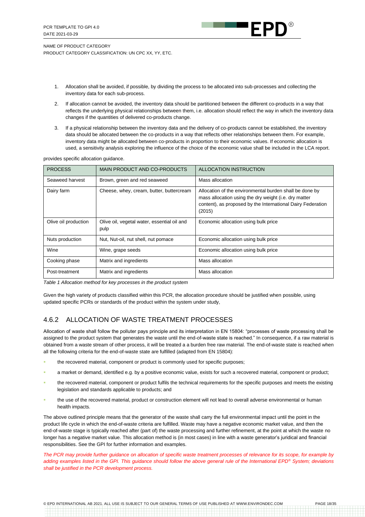

- 1. Allocation shall be avoided, if possible, by dividing the process to be allocated into sub-processes and collecting the inventory data for each sub-process.
- 2. If allocation cannot be avoided, the inventory data should be partitioned between the different co-products in a way that reflects the underlying physical relationships between them, i.e. allocation should reflect the way in which the inventory data changes if the quantities of delivered co-products change.
- 3. If a physical relationship between the inventory data and the delivery of co-products cannot be established, the inventory data should be allocated between the co-products in a way that reflects other relationships between them. For example, inventory data might be allocated between co-products in proportion to their economic values. If economic allocation is used, a sensitivity analysis exploring the influence of the choice of the economic value shall be included in the LCA report.

provides specific allocation guidance.

| <b>PROCESS</b>       | MAIN PRODUCT AND CO-PRODUCTS                        | ALLOCATION INSTRUCTION                                                                                                                                                                    |
|----------------------|-----------------------------------------------------|-------------------------------------------------------------------------------------------------------------------------------------------------------------------------------------------|
| Seaweed harvest      | Brown, green and red seaweed                        | Mass allocation                                                                                                                                                                           |
| Dairy farm           | Cheese, whey, cream, butter, buttercream            | Allocation of the environmental burden shall be done by<br>mass allocation using the dry weight (i.e. dry matter<br>content), as proposed by the International Dairy Federation<br>(2015) |
| Olive oil production | Olive oil, vegetal water, essential oil and<br>pulp | Economic allocation using bulk price                                                                                                                                                      |
| Nuts production      | Nut, Nut-oil, nut shell, nut pomace                 | Economic allocation using bulk price                                                                                                                                                      |
| Wine                 | Wine, grape seeds                                   | Economic allocation using bulk price                                                                                                                                                      |
| Cooking phase        | Matrix and ingredients                              | Mass allocation                                                                                                                                                                           |
| Post-treatment       | Matrix and ingredients                              | Mass allocation                                                                                                                                                                           |

*Table 1 Allocation method for key processes in the product system*

Given the high variety of products classified within this PCR, the allocation procedure should be justified when possible, using updated specific PCRs or standards of the product within the system under study,

## <span id="page-17-0"></span>4.6.2 ALLOCATION OF WASTE TREATMENT PROCESSES

Allocation of waste shall follow the polluter pays principle and its interpretation in EN 15804: "processes of waste processing shall be assigned to the product system that generates the waste until the end-of-waste state is reached." In consequence, if a raw material is obtained from a waste stream of other process, it will be treated a a burden free raw material. The end-of-waste state is reached when all the following criteria for the end-of-waste state are fulfilled (adapted from EN 15804):

- the recovered material, component or product is commonly used for specific purposes;
- a market or demand, identified e.g. by a positive economic value, exists for such a recovered material, component or product;
- the recovered material, component or product fulfils the technical requirements for the specific purposes and meets the existing legislation and standards applicable to products; and
- the use of the recovered material, product or construction element will not lead to overall adverse environmental or human health impacts.

The above outlined principle means that the generator of the waste shall carry the full environmental impact until the point in the product life cycle in which the end-of-waste criteria are fulfilled. Waste may have a negative economic market value, and then the end-of-waste stage is typically reached after (part of) the waste processing and further refinement, at the point at which the waste no longer has a negative market value. This allocation method is (in most cases) in line with a waste generator's juridical and financial responsibilities. See the GPI for further information and examples.

*The PCR may provide further guidance on allocation of specific waste treatment processes of relevance for its scope, for example by adding examples listed in the GPI. This guidance should follow the above general rule of the International EPD® System; deviations shall be justified in the PCR development process.*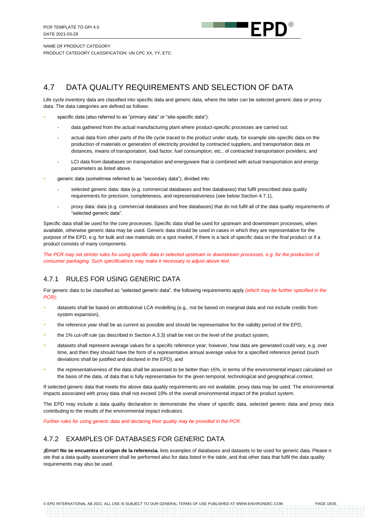

#### NAME OF PRODUCT CATEGORY

PRODUCT CATEGORY CLASSIFICATION: UN CPC XX, YY, ETC.

# <span id="page-18-0"></span>4.7 DATA QUALITY REQUIREMENTS AND SELECTION OF DATA

Life cycle inventory data are classified into specific data and generic data, where the latter can be selected generic data or proxy data. The data categories are defined as follows:

- specific data (also referred to as "primary data" or "site-specific data"):
	- data gathered from the actual manufacturing plant where product-specific processes are carried out;
	- actual data from other parts of the life cycle traced to the product under study, for example site-specific data on the production of materials or generation of electricity provided by contracted suppliers, and transportation data on distances, means of transportation, load factor, fuel consumption, etc., of contracted transportation providers; and
	- LCI data from databases on transportation and energyware that is combined with actual transportation and energy parameters as listed above.
- generic data (sometimes referred to as "secondary data"), divided into:
	- selected generic data: data (e.g. commercial databases and free databases) that fulfil prescribed data quality requirements for precision, completeness, and representativeness (see below Sectio[n 4.7.1\)](#page-18-1),
	- proxy data: data (e.g. commercial databases and free databases) that do not fulfil all of the data quality requirements of "selected generic data".

Specific data shall be used for the core processes. Specific data shall be used for upstream and downstream processes, when available, otherwise generic data may be used. Generic data should be used in cases in which they are representative for the purpose of the EPD, e.g. for bulk and raw materials on a spot market, if there is a lack of specific data on the final product or if a product consists of many components.

*The PCR may set stricter rules for using specific data in selected upstream or downstream processes, e.g. for the production of consumer packaging. Such specifications may make it necessary to adjust above text.*

## <span id="page-18-1"></span>4.7.1 RULES FOR USING GENERIC DATA

For generic data to be classified as "selected generic data", the following requirements apply *(which may be further specified in the PCR)*:

- datasets shall be based on attributional LCA modelling (e.g., not be based on marginal data and not include credits from system expansion),
- the reference year shall be as current as possible and should be representative for the validity period of the EPD,
- the 1% cut-off rule (as described in Section A.3.3) shall be met on the level of the product system,
- datasets shall represent average values for a specific reference year; however, how data are generated could vary, e.g. over time, and then they should have the form of a representative annual average value for a specified reference period (such deviations shall be justified and declared in the EPD), and
- the representativeness of the data shall be assessed to be better than ±5%, in terms of the environmental impact calculated on the basis of the data, of data that is fully representative for the given temporal, technological and geographical context.

If selected generic data that meets the above data quality requirements are not available, proxy data may be used. The environmental impacts associated with proxy data shall not exceed 10% of the overall environmental impact of the product system.

The EPD may include a data quality declaration to demonstrate the share of specific data, selected generic data and proxy data contributing to the results of the environmental impact indicators.

*Further rules for using generic data and declaring their quality may be provided in the PCR.*

#### 4.7.2 EXAMPLES OF DATABASES FOR GENERIC DATA

**¡Error! No se encuentra el origen de la referencia.** lists examples of databases and datasets to be used for generic data. Please n ote that a data quality assessment shall be performed also for data listed in the table, and that other data that fulfil the data quality requirements may also be used.

© EPD INTERNATIONAL AB 2021. ALL USE IS SUBJECT TO OUR GENERAL TERMS OF USE PUBLISHED AT WWW.ENVIRONDEC.COM PAGE 19/35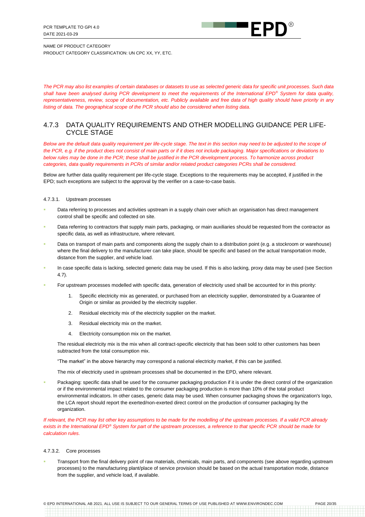

*The PCR may also list examples of certain databases or datasets to use as selected generic data for specific unit processes. Such data shall have been analysed during PCR development to meet the requirements of the International EPD® System for data quality, representativeness, review, scope of documentation, etc. Publicly available and free data of high quality should have priority in any listing of data. The geographical scope of the PCR should also be considered when listing data.*

#### 4.7.3 DATA QUALITY REQUIREMENTS AND OTHER MODELLING GUIDANCE PER LIFE-CYCLE STAGE

*Below are the default data quality requirement per life-cycle stage. The text in this section may need to be adjusted to the scope of the PCR, e.g. if the product does not consist of main parts or if it does not include packaging. Major specifications or deviations to below rules may be done in the PCR; these shall be justified in the PCR development process. To harmonize across product categories, data quality requirements in PCRs of similar and/or related product categories PCRs shall be considered.*

Below are further data quality requirement per life-cycle stage. Exceptions to the requirements may be accepted, if justified in the EPD; such exceptions are subject to the approval by the verifier on a case-to-case basis.

4.7.3.1. Upstream processes

- Data referring to processes and activities upstream in a supply chain over which an organisation has direct management control shall be specific and collected on site.
- Data referring to contractors that supply main parts, packaging, or main auxiliaries should be requested from the contractor as specific data, as well as infrastructure, where relevant.
- Data on transport of main parts and components along the supply chain to a distribution point (e.g. a stockroom or warehouse) where the final delivery to the manufacturer can take place, should be specific and based on the actual transportation mode, distance from the supplier, and vehicle load.
- In case specific data is lacking, selected generic data may be used. If this is also lacking, proxy data may be used (see Section [4.7\)](#page-18-0).
- For upstream processes modelled with specific data, generation of electricity used shall be accounted for in this priority:
	- 1. Specific electricity mix as generated, or purchased from an electricity supplier, demonstrated by a Guarantee of Origin or similar as provided by the electricity supplier.
	- 2. Residual electricity mix of the electricity supplier on the market.
	- 3. Residual electricity mix on the market.
	- 4. Electricity consumption mix on the market.

The residual electricity mix is the mix when all contract-specific electricity that has been sold to other customers has been subtracted from the total consumption mix.

"The market" in the above hierarchy may correspond a national electricity market, if this can be justified.

The mix of electricity used in upstream processes shall be documented in the EPD, where relevant.

Packaging: specific data shall be used for the consumer packaging production if it is under the direct control of the organization or if the environmental impact related to the consumer packaging production is more than 10% of the total product environmental indicators. In other cases, generic data may be used. When consumer packaging shows the organization's logo, the LCA report should report the exerted/non-exerted direct control on the production of consumer packaging by the organization.

*If relevant, the PCR may list other key assumptions to be made for the modelling of the upstream processes. If a valid PCR already exists in the International EPD® System for part of the upstream processes, a reference to that specific PCR should be made for calculation rules.*

#### 4.7.3.2. Core processes

Transport from the final delivery point of raw materials, chemicals, main parts, and components (see above regarding upstream processes) to the manufacturing plant/place of service provision should be based on the actual transportation mode, distance from the supplier, and vehicle load, if available.

© EPD INTERNATIONAL AB 2021. ALL USE IS SUBJECT TO OUR GENERAL TERMS OF USE PUBLISHED AT WWW.ENVIRONDEC.COM PAGE 20/35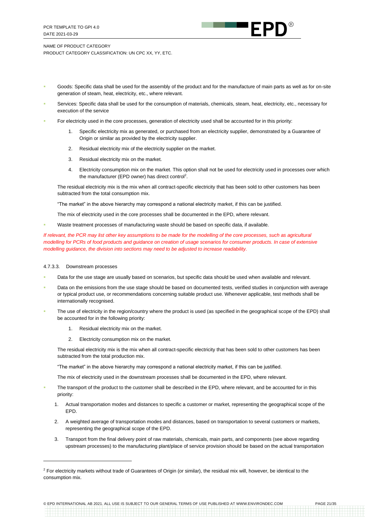

- Goods: Specific data shall be used for the assembly of the product and for the manufacture of main parts as well as for on-site generation of steam, heat, electricity, etc., where relevant.
- Services: Specific data shall be used for the consumption of materials, chemicals, steam, heat, electricity, etc., necessary for execution of the service
- For electricity used in the core processes, generation of electricity used shall be accounted for in this priority:
	- Specific electricity mix as generated, or purchased from an electricity supplier, demonstrated by a Guarantee of Origin or similar as provided by the electricity supplier.
	- 2. Residual electricity mix of the electricity supplier on the market.
	- 3. Residual electricity mix on the market.
	- 4. Electricity consumption mix on the market. This option shall not be used for electricity used in processes over which the manufacturer (EPD owner) has direct control<sup>2</sup>.

The residual electricity mix is the mix when all contract-specific electricity that has been sold to other customers has been subtracted from the total consumption mix.

"The market" in the above hierarchy may correspond a national electricity market, if this can be justified.

The mix of electricity used in the core processes shall be documented in the EPD, where relevant.

Waste treatment processes of manufacturing waste should be based on specific data, if available.

*If relevant, the PCR may list other key assumptions to be made for the modelling of the core processes, such as agricultural modelling for PCRs of food products and guidance on creation of usage scenarios for consumer products. In case of extensive modelling guidance, the division into sections may need to be adjusted to increase readability.*

#### 4.7.3.3. Downstream processes

- Data for the use stage are usually based on scenarios, but specific data should be used when available and relevant.
- Data on the emissions from the use stage should be based on documented tests, verified studies in conjunction with average or typical product use, or recommendations concerning suitable product use. Whenever applicable, test methods shall be internationally recognised.
- The use of electricity in the region/country where the product is used (as specified in the geographical scope of the EPD) shall be accounted for in the following priority:
	- 1. Residual electricity mix on the market.
	- 2. Electricity consumption mix on the market.

The residual electricity mix is the mix when all contract-specific electricity that has been sold to other customers has been subtracted from the total production mix.

"The market" in the above hierarchy may correspond a national electricity market, if this can be justified.

The mix of electricity used in the downstream processes shall be documented in the EPD, where relevant.

- The transport of the product to the customer shall be described in the EPD, where relevant, and be accounted for in this priority:
	- 1. Actual transportation modes and distances to specific a customer or market, representing the geographical scope of the EPD.
	- 2. A weighted average of transportation modes and distances, based on transportation to several customers or markets, representing the geographical scope of the EPD.
	- 3. Transport from the final delivery point of raw materials, chemicals, main parts, and components (see above regarding upstream processes) to the manufacturing plant/place of service provision should be based on the actual transportation

© EPD INTERNATIONAL AB 2021. ALL USE IS SUBJECT TO OUR GENERAL TERMS OF USE PUBLISHED AT WWW.ENVIRONDEC.COM PAGE 21/35

<sup>&</sup>lt;sup>2</sup> For electricity markets without trade of Guarantees of Origin (or similar), the residual mix will, however, be identical to the consumption mix.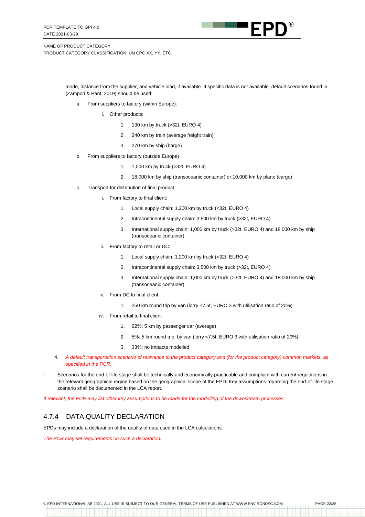

> mode, distance from the supplier, and vehicle load, if available. If specific data is not available, default scenarios found in (Zampori & Pant, 2019) should be used:

- a. From suppliers to factory (within Europe):
	- i. Other products:
		- 1. 130 km by truck (>32t, EURO 4)
		- 2. 240 km by train (average freight train)
		- 3. 270 km by ship (barge)
- b. From suppliers to factory (outside Europe)
	- 1. 1,000 km by truck (>32t, EURO 4)
	- 2. 18,000 km by ship (transoceanic container) or 10,000 km by plane (cargo)
- c. Transport for distribution of final product
	- i. From factory to final client:
		- 1. Local supply chain: 1,200 km by truck (<32t, EURO 4)
		- 2. Intracontinental supply chain: 3,500 km by truck (>32t, EURO 4)
		- 3. International supply chain: 1,000 km by truck (>32t, EURO 4) and 18,000 km by ship (transoceanic container)
	- ii. From factory to retail or DC:
		- 1. Local supply chain: 1,200 km by truck (<32t, EURO 4)
		- 2. Intracontinental supply chain: 3,500 km by truck (>32t, EURO 4)
		- 3. International supply chain: 1,000 km by truck (>32t, EURO 4) and 18,000 km by ship (transoceanic container)
	- iii. From DC to final client:
		- 1. 250 km round trip by van (lorry <7.5t, EURO 3 with utilisation ratio of 20%)
	- iv. From retail to final client
		- 1. 62%: 5 km by passenger car (average)
		- 2. 5%: 5 km round trip, by van (lorry <7.5t, EURO 3 with utilisation ratio of 20%)
		- 3. 33%: no impacts modelled
- 4. *A default transportation scenario of relevance to the product category and (for the product category) common markets, as specified in the PCR.*
- Scenarios for the end-of-life stage shall be technically and economically practicable and compliant with current regulations in the relevant geographical region based on the geographical scope of the EPD. Key assumptions regarding the end-of-life stage scenario shall be documented in the LCA report.

*If relevant, the PCR may list other key assumptions to be made for the modelling of the downstream processes.*

#### 4.7.4 DATA QUALITY DECLARATION

EPDs may include a declaration of the quality of data used in the LCA calculations.

*The PCR may set requirements on such a declaration.*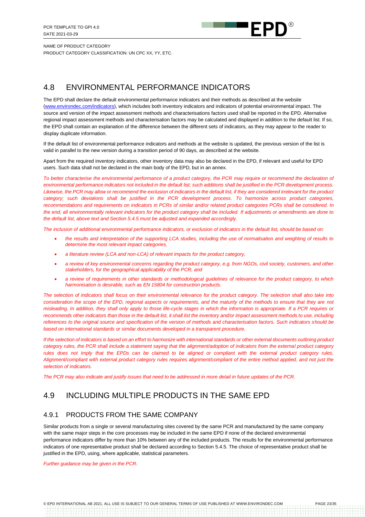

# <span id="page-22-0"></span>4.8 ENVIRONMENTAL PERFORMANCE INDICATORS

The EPD shall declare the default environmental performance indicators and their methods as described at the website [\(www.environdec.com/i](http://www.environdec.com/impact-categories)ndicators), which includes both inventory indicators and indicators of potential environmental impact. The source and version of the impact assessment methods and characterisations factors used shall be reported in the EPD. Alternative regional impact assessment methods and characterisation factors may be calculated and displayed in addition to the default list. If so, the EPD shall contain an explanation of the difference between the different sets of indicators, as they may appear to the reader to display duplicate information.

If the default list of environmental performance indicators and methods at the [website](http://www.environdec.com/) is updated, the previous version of the list is valid in parallel to the new version during a transition period of 90 days, as described at the website.

Apart from the required inventory indicators, other inventory data may also be declared in the EPD, if relevant and useful for EPD users. Such data shall not be declared in the main body of the EPD, but in an annex.

*To better characterise the environmental performance of a product category, the PCR may require or recommend the declaration of environmental performance indicators not included in the default list; such additions shall be justified in the PCR development process.* Likewise, the PCR may allow or recommend the exclusion of indicators in the default list, if they are considered irrelevant for the product *category; such deviations shall be justified in the PCR development process. To harmonize across product categories, recommendations and requirements on indicators in PCRs of similar and/or related product categories PCRs shall be considered. In the end, all environmentally relevant indicators for the product category shall be included. If adjustments or amendments are done to the default list, above text and Sectio[n 5.4.5](#page-29-0) must be adjusted and expanded accordingly.*

*The inclusion of additional environmental performance indicators, or exclusion of indicators in the default list, should be based on:*

- *the results and interpretation of the supporting LCA studies, including the use of normalisation and weighting of results to determine the most relevant impact categories,*
- *a literature review (LCA and non-LCA) of relevant impacts for the product category,*
- *a review of key environmental concerns regarding the product category, e.g. from NGOs, civil society, customers, and other stakeholders, for the geographical applicability of the PCR, and*
- *a review of requirements in other standards or methodological guidelines of relevance for the product category, to which harmonisation is desirable, such as EN 15804 for construction products.*

*The selection of indicators shall focus on their environmental relevance for the product category. The selection shall also take into consideration the scope of the EPD, regional aspects or requirements, and the maturity of the methods to ensure that they are not misleading. In addition, they shall only apply to those life-cycle stages in which the information is appropriate. If a PCR requires or*  recommends other indicators than those in the default list, it shall list the inventory and/or impact assessment methods to use, including *references to the original source and specification of the version of methods and characterisation factors. Such indicators should be based on international standards or similar documents developed in a transparent procedure.*

*If the selection of indicators is based on an effort to harmonize with international standards or other external documents outlining product category rules, the PCR shall include a statement saying that the alignment/adoption of indicators from the external product category rules does not imply that the EPDs can be claimed to be aligned or compliant with the external product category rules. Alignment/compliant with external product category rules requires alignment/compliant of the entire method applied, and not just the selection of indicators.*

*The PCR may also indicate and justify issues that need to be addressed in more detail in future updates of the PCR.*

# <span id="page-22-1"></span>4.9 INCLUDING MULTIPLE PRODUCTS IN THE SAME EPD

#### 4.9.1 PRODUCTS FROM THE SAME COMPANY

Similar products from a single or several manufacturing sites covered by the same PCR and manufactured by the same company with the same major steps in the core processes may be included in the same EPD if none of the declared environmental performance indicators differ by more than 10% between any of the included products. The results for the environmental performance indicators of one representative product shall be declared according to Section [5.4.5.](#page-29-0) The choice of representative product shall be justified in the EPD, using, where applicable, statistical parameters.

*Further guidance may be given in the PCR*.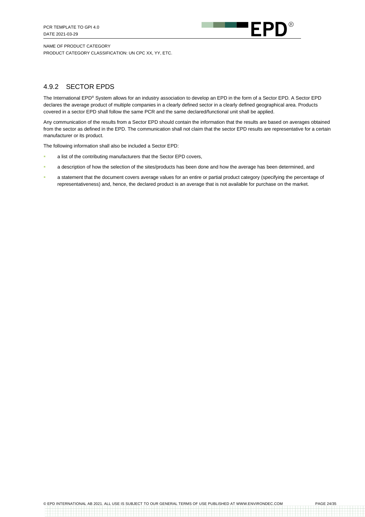

## 4.9.2 SECTOR EPDS

The International EPD® System allows for an industry association to develop an EPD in the form of a Sector EPD. A Sector EPD declares the average product of multiple companies in a clearly defined sector in a clearly defined geographical area. Products covered in a sector EPD shall follow the same PCR and the same declared/functional unit shall be applied.

Any communication of the results from a Sector EPD should contain the information that the results are based on averages obtained from the sector as defined in the EPD. The communication shall not claim that the sector EPD results are representative for a certain manufacturer or its product.

The following information shall also be included a Sector EPD:

- **EXECT** a list of the contributing manufacturers that the Sector EPD covers,
- a description of how the selection of the sites/products has been done and how the average has been determined, and
- a statement that the document covers average values for an entire or partial product category (specifying the percentage of representativeness) and, hence, the declared product is an average that is not available for purchase on the market.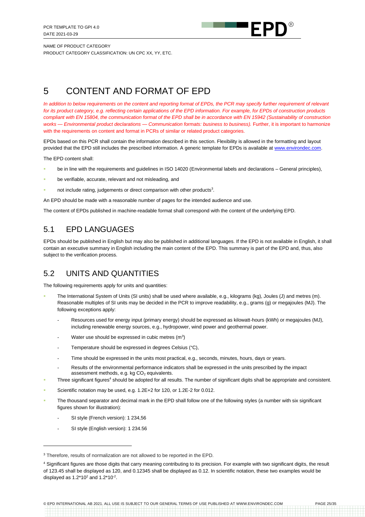

# <span id="page-24-0"></span>5 CONTENT AND FORMAT OF EPD

*In addition to below requirements on the content and reporting format of EPDs, the PCR may specify further requirement of relevant for its product category, e.g. reflecting certain applications of the EPD information. For example, for EPDs of construction products compliant with EN 15804, the communication format of the EPD shall be in accordance with EN 15942 (Sustainability of construction works — Environmental product declarations — Communication formats: business to business).* Further, it is important to harmonize with the requirements on content and format in PCRs of similar or related product categories.

EPDs based on this PCR shall contain the information described in this section. Flexibility is allowed in the formatting and layout provided that the EPD still includes the prescribed information. A generic template for EPDs is available at [www.environdec.com.](http://www.environdec.com/)

The EPD content shall:

- be in line with the requirements and guidelines in ISO 14020 (Environmental labels and declarations General principles),
- be verifiable, accurate, relevant and not misleading, and
- not include rating, judgements or direct comparison with other products<sup>3</sup>.

An EPD should be made with a reasonable number of pages for the intended audience and use.

The content of EPDs published in machine-readable format shall correspond with the content of the underlying EPD.

# <span id="page-24-1"></span>5.1 EPD LANGUAGES

EPDs should be published in English but may also be published in additional languages. If the EPD is not available in English, it shall contain an executive summary in English including the main content of the EPD. This summary is part of the EPD and, thus, also subject to the verification process.

# <span id="page-24-2"></span>5.2 UNITS AND QUANTITIES

The following requirements apply for units and quantities:

- The International System of Units (SI units) shall be used where available, e.g., kilograms (kg), Joules (J) and metres (m). Reasonable multiples of SI units may be decided in the PCR to improve readability, e.g., grams (g) or megajoules (MJ). The following exceptions apply:
	- Resources used for energy input (primary energy) should be expressed as kilowatt-hours (kWh) or megajoules (MJ), including renewable energy sources, e.g., hydropower, wind power and geothermal power.
	- Water use should be expressed in cubic metres  $(m^3)$
	- Temperature should be expressed in degrees Celsius (°C),
	- Time should be expressed in the units most practical, e.g., seconds, minutes, hours, days or years.
	- Results of the environmental performance indicators shall be expressed in the units prescribed by the impact assessment methods, e.g. kg  $CO<sub>2</sub>$  equivalents.
- Three significant figures<sup>4</sup> should be adopted for all results. The number of significant digits shall be appropriate and consistent.
- Scientific notation may be used, e.g. 1.2E+2 for 120, or 1.2E-2 for 0.012.
- The thousand separator and decimal mark in the EPD shall follow one of the following styles (a number with six significant figures shown for illustration):
	- SI style (French version): 1 234,56
	- SI style (English version): 1 234.56

<sup>&</sup>lt;sup>3</sup> Therefore, results of normalization are not allowed to be reported in the EPD.

<sup>&</sup>lt;sup>4</sup> Significant figures are those digits that carry meaning contributing to its precision. For example with two significant digits, the result of 123.45 shall be displayed as 120, and 0.12345 shall be displayed as 0.12. In scientific notation, these two examples would be displayed as  $1.2*10^2$  and  $1.2*10^2$ .

<sup>©</sup> EPD INTERNATIONAL AB 2021. ALL USE IS SUBJECT TO OUR GENERAL TERMS OF USE PUBLISHED AT WWW.ENVIRONDEC.COM PAGE 25/35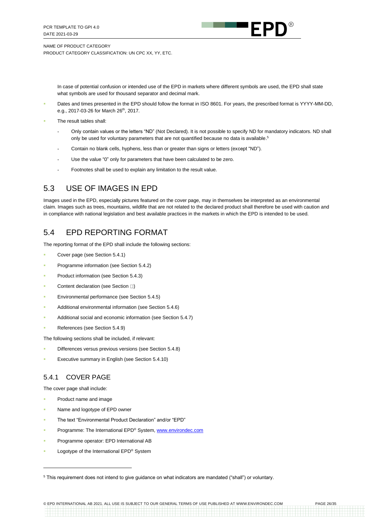

> In case of potential confusion or intended use of the EPD in markets where different symbols are used, the EPD shall state what symbols are used for thousand separator and decimal mark.

- Dates and times presented in the EPD should follow the format in ISO 8601. For years, the prescribed format is YYYY-MM-DD, e.g., 2017-03-26 for March 26<sup>th</sup>, 2017.
- The result tables shall:
	- Only contain values or the letters "ND" (Not Declared). It is not possible to specify ND for mandatory indicators. ND shall only be used for voluntary parameters that are not quantified because no data is available.<sup>5</sup>
	- Contain no blank cells, hyphens, less than or greater than signs or letters (except "ND").
	- Use the value "0" only for parameters that have been calculated to be zero.
	- Footnotes shall be used to explain any limitation to the result value.

# <span id="page-25-0"></span>5.3 USE OF IMAGES IN EPD

Images used in the EPD, especially pictures featured on the cover page, may in themselves be interpreted as an environmental claim. Images such as trees, mountains, wildlife that are not related to the declared product shall therefore be used with caution and in compliance with national legislation and best available practices in the markets in which the EPD is intended to be used.

# <span id="page-25-1"></span>5.4 EPD REPORTING FORMAT

The reporting format of the EPD shall include the following sections:

- Cover page (see Section [5.4.1\)](#page-25-2)
- Programme information (see Section [5.4.2\)](#page-26-0)
- Product information (see Section [5.4.3\)](#page-27-0)
- Content declaration (see Section  $\Box$ [\)](#page-27-1)
- Environmental performance (see Section [5.4.5\)](#page-29-0)
- Additional environmental information (see Section [5.4.6\)](#page-29-1)
- Additional social and economic information (see Section [5.4.7\)](#page-30-0)
- References (see Section [5.4.9\)](#page-30-1)

The following sections shall be included, if relevant:

- Differences versus previous versions (see Section [5.4.8\)](#page-30-2)
- Executive summary in English (see Section [5.4.10\)](#page-30-3)

#### <span id="page-25-2"></span>5.4.1 COVER PAGE

The cover page shall include:

- Product name and image
- Name and logotype of EPD owner
- The text "Environmental Product Declaration" and/or "EPD"
- Programme: The International EPD® System[, www.environdec.com](http://www.environdec.com/)
- Programme operator: EPD International AB
- Logotype of the International EPD® System

© EPD INTERNATIONAL AB 2021. ALL USE IS SUBJECT TO OUR GENERAL TERMS OF USE PUBLISHED AT WWW.ENVIRONDEC.COM PAGE 26/35

<sup>5</sup> This requirement does not intend to give guidance on what indicators are mandated ("shall") or voluntary.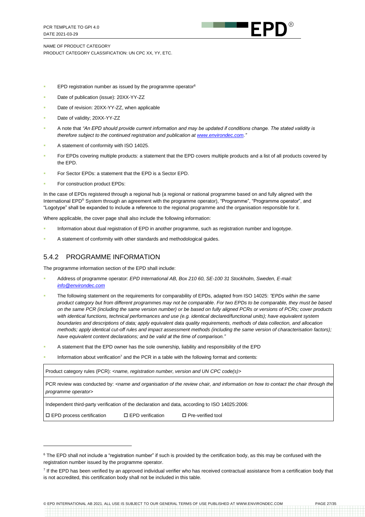

- EPD registration number as issued by the programme operator $6$
- Date of publication (issue): 20XX-YY-ZZ
- Date of revision: 20XX-YY-ZZ, when applicable
- Date of validity; 20XX-YY-ZZ
- A note that *"An EPD should provide current information and may be updated if conditions change. The stated validity is therefore subject to the continued registration and publication a[t www.environdec.com."](http://www.environdec.com/)*
- A statement of conformity with ISO 14025.
- For EPDs covering multiple products: a statement that the EPD covers multiple products and a list of all products covered by the EPD.
- For Sector EPDs: a statement that the EPD is a Sector EPD.
- For construction product EPDs:

In the case of EPDs registered through a regional hub (a regional or national programme based on and fully aligned with the International EPD® System through an agreement with the programme operator), "Programme", "Programme operator", and "Logotype" shall be expanded to include a reference to the regional programme and the organisation responsible for it.

Where applicable, the cover page shall also include the following information:

- Information about dual registration of EPD in another programme, such as registration number and logotype.
- A statement of conformity with other standards and methodological guides.

#### <span id="page-26-0"></span>5.4.2 PROGRAMME INFORMATION

The programme information section of the EPD shall include:

- Address of programme operator: *EPD International AB, Box 210 60, SE-100 31 Stockholm, Sweden, E-mail: [info@environdec.com](mailto:info@environdec.com)*
- The following statement on the requirements for comparability of EPDs, adapted from ISO 14025: *"EPDs within the same product category but from different programmes may not be comparable*. *For two EPDs to be comparable, they must be based on the same PCR (including the same version number) or be based on fully aligned PCRs or versions of PCRs; cover products with identical functions, technical performances and use (e.g. identical declared/functional units); have equivalent system boundaries and descriptions of data; apply equivalent data quality requirements, methods of data collection, and allocation methods; apply identical cut-off rules and impact assessment methods (including the same version of characterisation factors); have equivalent content declarations; and be valid at the time of comparison."*
- A statement that the EPD owner has the sole ownership, liability and responsibility of the EPD
- Information about verification<sup>7</sup> and the PCR in a table with the following format and contents:

Product category rules (PCR): <name, registration number, version and UN CPC code(s)>

PCR review was conducted by: <name and organisation of the review chair, and information on how to contact the chair through the *programme operator>*

Independent third-party verification of the declaration and data, according to ISO 14025:2006:

 $\square$  EPD process certification  $\square$  EPD verification  $\square$  Pre-verified tool

© EPD INTERNATIONAL AB 2021. ALL USE IS SUBJECT TO OUR GENERAL TERMS OF USE PUBLISHED AT WWW.ENVIRONDEC.COM PAGE 27/35

<sup>&</sup>lt;sup>6</sup> The EPD shall not include a "registration number" if such is provided by the certification body, as this may be confused with the registration number issued by the programme operator.

<sup>&</sup>lt;sup>7</sup> If the EPD has been verified by an approved individual verifier who has received contractual assistance from a certification body that is not accredited, this certification body shall not be included in this table.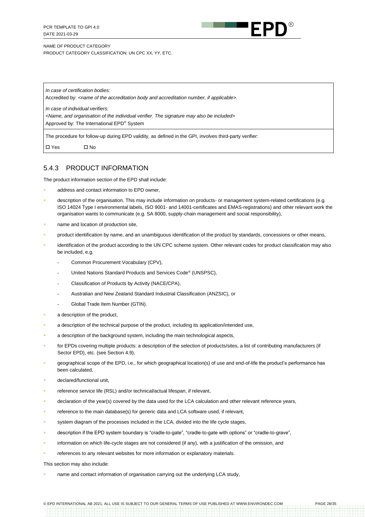

*In case of certification bodies:* Accredited by: <name of the accreditation body and accreditation number, if applicable>.

*In case of individual verifiers:*

*<Name, and organisation of the individual verifier. The signature may also be included>*

Approved by: The International EPD® System

The procedure for follow-up during EPD validity, as defined in the GPI, involves third-party verifier:

<span id="page-27-0"></span>Yes No

#### 5.4.3 PRODUCT INFORMATION

The product information section of the EPD shall include:

- address and contact information to EPD owner,
- description of the organisation. This may include information on products- or management system-related certifications (e.g. ISO 14024 Type I environmental labels, ISO 9001- and 14001-certificates and EMAS-registrations) and other relevant work the organisation wants to communicate (e.g. SA 8000, supply-chain management and social responsibility),
- name and location of production site,
- product identification by name, and an unambiguous identification of the product by standards, concessions or other means,
- identification of the product according to the UN CPC scheme system. Other relevant codes for product classification may also be included, e.g.
	- Common Procurement Vocabulary (CPV),
	- United Nations Standard Products and Services Code<sup>®</sup> (UNSPSC),
	- Classification of Products by Activity (NACE/CPA),
	- Australian and New Zealand Standard Industrial Classification (ANZSIC), or
	- Global Trade Item Number (GTIN).
- a description of the product,
- a description of the technical purpose of the product, including its application/intended use,
- a description of the background system, including the main technological aspects,
- for EPDs covering multiple products: a description of the selection of products/sites, a list of contributing manufacturers (if Sector EPD), etc. (see Sectio[n 4.9\)](#page-22-1),
- geographical scope of the EPD, i.e., for which geographical location(s) of use and end-of-life the product's performance has been calculated,
- declared/functional unit,
- reference service life (RSL) and/or technical/actual lifespan, if relevant,
- declaration of the year(s) covered by the data used for the LCA calculation and other relevant reference years,
- reference to the main database(s) for generic data and LCA software used, if relevant,
- system diagram of the processes included in the LCA, divided into the life cycle stages,
- description if the EPD system boundary is "cradle-to-gate", "cradle-to-gate with options" or "cradle-to-grave",
- information on which life-cycle stages are not considered (if any), with a justification of the omission, and
- references to any relevant websites for more information or explanatory materials.

This section may also include:

<span id="page-27-1"></span>name and contact information of organisation carrying out the underlying LCA study,

© EPD INTERNATIONAL AB 2021. ALL USE IS SUBJECT TO OUR GENERAL TERMS OF USE PUBLISHED AT WWW.ENVIRONDEC.COM PAGE 28/35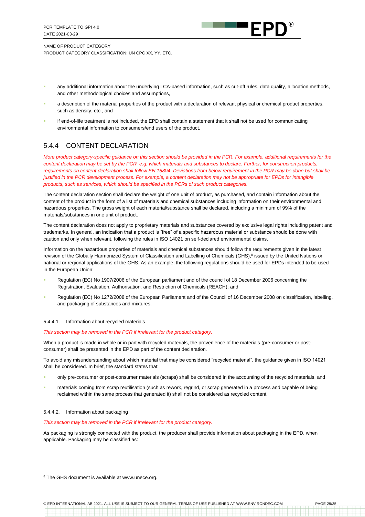

- any additional information about the underlying LCA-based information, such as cut-off rules, data quality, allocation methods, and other methodological choices and assumptions,
- a description of the material properties of the product with a declaration of relevant physical or chemical product properties, such as density, etc., and
- if end-of-life treatment is not included, the EPD shall contain a statement that it shall not be used for communicating environmental information to consumers/end users of the product.

## 5.4.4 CONTENT DECLARATION

*More product category-specific guidance on this section should be provided in the PCR. For example, additional requirements for the content declaration may be set by the PCR, e.g. which materials and substances to declare. Further, for construction products, requirements on content declaration shall follow EN 15804. Deviations from below requirement in the PCR may be done but shall be justified in the PCR development process. For example, a content declaration may not be appropriate for EPDs for intangible products, such as services, which should be specified in the PCRs of such product categories.*

The content declaration section shall declare the weight of one unit of product, as purchased, and contain information about the content of the product in the form of a list of materials and chemical substances including information on their environmental and hazardous properties. The gross weight of each material/substance shall be declared, including a minimum of 99% of the materials/substances in one unit of product.

The content declaration does not apply to proprietary materials and substances covered by exclusive legal rights including patent and trademarks. In general, an indication that a product is "free" of a specific hazardous material or substance should be done with caution and only when relevant, following the rules in ISO 14021 on self-declared environmental claims.

Information on the hazardous properties of materials and chemical substances should follow the requirements given in the latest revision of the Globally Harmonized System of Classification and Labelling of Chemicals (GHS),<sup>8</sup> issued by the United Nations or national or regional applications of the GHS. As an example, the following regulations should be used for EPDs intended to be used in the European Union:

- Regulation (EC) No 1907/2006 of the European parliament and of the council of 18 December 2006 concerning the Registration, Evaluation, Authorisation, and Restriction of Chemicals (REACH); and
- Regulation (EC) No 1272/2008 of the European Parliament and of the Council of 16 December 2008 on classification, labelling, and packaging of substances and mixtures.

#### 5.4.4.1. Information about recycled materials

#### *This section may be removed in the PCR if irrelevant for the product category.*

When a product is made in whole or in part with recycled materials, the provenience of the materials (pre-consumer or postconsumer) shall be presented in the EPD as part of the content declaration.

To avoid any misunderstanding about which material that may be considered "recycled material", the guidance given in ISO 14021 shall be considered. In brief, the standard states that:

- only pre-consumer or post-consumer materials (scraps) shall be considered in the accounting of the recycled materials, and
- materials coming from scrap reutilisation (such as rework, regrind, or scrap generated in a process and capable of being reclaimed within the same process that generated it) shall not be considered as recycled content.

#### 5.4.4.2. Information about packaging

#### *This section may be removed in the PCR if irrelevant for the product category.*

As packaging is strongly connected with the product, the producer shall provide information about packaging in the EPD, when applicable. Packaging may be classified as:

<sup>&</sup>lt;sup>8</sup> The GHS document is available a[t www.unece.org.](http://www.unece.org/)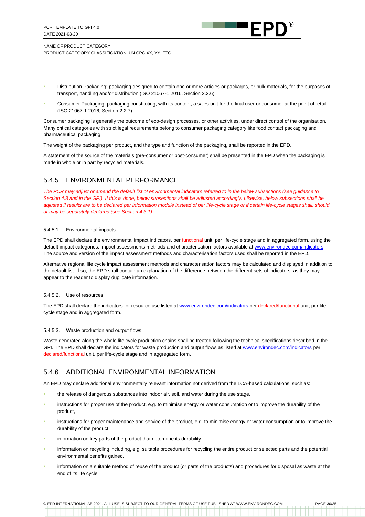

- Distribution Packaging: packaging designed to contain one or more articles or packages, or bulk materials, for the purposes of transport, handling and/or distribution (ISO 21067-1:2016, Section 2.2.6)
- Consumer Packaging: packaging constituting, with its content, a sales unit for the final user or consumer at the point of retail (ISO 21067-1:2016, Section 2.2.7).

Consumer packaging is generally the outcome of eco-design processes, or other activities, under direct control of the organisation. Many critical categories with strict legal requirements belong to consumer packaging category like food contact packaging and pharmaceutical packaging.

The weight of the packaging per product, and the type and function of the packaging, shall be reported in the EPD.

A statement of the source of the materials (pre-consumer or post-consumer) shall be presented in the EPD when the packaging is made in whole or in part by recycled materials.

## <span id="page-29-0"></span>5.4.5 ENVIRONMENTAL PERFORMANCE

*The PCR may adjust or amend the default list of environmental indicators referred to in the below subsections (see guidance to Section [4.8](#page-22-0) and in the GPI). If this is done, below subsections shall be adjusted accordingly. Likewise, below subsections shall be*  adjusted if results are to be declared per information module instead of per life-cycle stage or if certain life-cycle stages shall, should *or may be separately declared (see Sectio[n 4.3.1\)](#page-14-2).*

#### 5.4.5.1. Environmental impacts

The EPD shall declare the environmental impact indicators, per functional unit, per life-cycle stage and in aggregated form, using the default impact categories, impact assessments methods and characterisation factors available at [www.environdec.com/indicators.](http://www.environdec.com/indicators) The source and version of the impact assessment methods and characterisation factors used shall be reported in the EPD.

Alternative regional life cycle impact assessment methods and characterisation factors may be calculated and displayed in addition to the default list. If so, the EPD shall contain an explanation of the difference between the different sets of indicators, as they may appear to the reader to display duplicate information.

#### 5.4.5.2. Use of resources

The EPD shall declare the indicators for resource use listed a[t www.environdec.com/indicators](http://www.environdec.com/indicators) per declared/functional unit, per lifecycle stage and in aggregated form.

#### 5.4.5.3. Waste production and output flows

Waste generated along the whole life cycle production chains shall be treated following the technical specifications described in the GPI. The EPD shall declare the indicators for waste production and output flows as listed at [www.environdec.com/indicators](http://www.environdec.com/indicators) per declared/functional unit, per life-cycle stage and in aggregated form.

#### <span id="page-29-1"></span>5.4.6 ADDITIONAL ENVIRONMENTAL INFORMATION

An EPD may declare additional environmentally relevant information not derived from the LCA-based calculations, such as:

- the release of dangerous substances into indoor air, soil, and water during the use stage,
- instructions for proper use of the product, e.g. to minimise energy or water consumption or to improve the durability of the product,
- instructions for proper maintenance and service of the product, e.g. to minimise energy or water consumption or to improve the durability of the product,
- information on key parts of the product that determine its durability,
- information on recycling including, e.g. suitable procedures for recycling the entire product or selected parts and the potential environmental benefits gained,
- information on a suitable method of reuse of the product (or parts of the products) and procedures for disposal as waste at the end of its life cycle,

© EPD INTERNATIONAL AB 2021. ALL USE IS SUBJECT TO OUR GENERAL TERMS OF USE PUBLISHED AT WWW.ENVIRONDEC.COM PAGE 30/35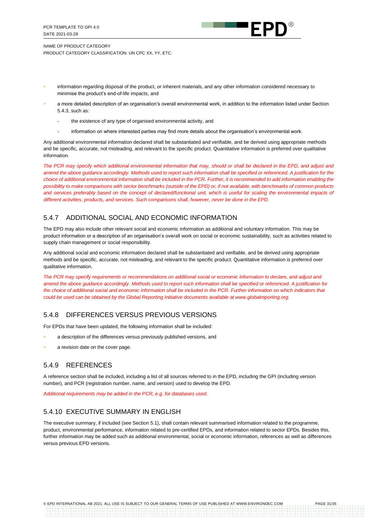

- information regarding disposal of the product, or inherent materials, and any other information considered necessary to minimise the product's end-of-life impacts, and
- a more detailed description of an organisation's overall environmental work, in addition to the information listed under Section [5.4.3,](#page-27-0) such as:
	- the existence of any type of organised environmental activity, and
	- information on where interested parties may find more details about the organisation's environmental work.

Any additional environmental information declared shall be substantiated and verifiable, and be derived using appropriate methods and be specific, accurate, not misleading, and relevant to the specific product. Quantitative information is preferred over qualitative information.

*The PCR may specify which additional environmental information that may, should or shall be declared in the EPD, and adjust and*  amend the above guidance accordingly. Methods used to report such information shall be specified or referenced. A justification for the *choice of additional environmental information shall be included in the PCR. Further, it is recommended to add information enabling the possibility to make comparisons with sector benchmarks (outside of the EPD) or, if not available, with benchmarks of common products*  and services preferably based on the concept of declared/functional unit, which is useful for scaling the environmental impacts of *different activities, products, and services. Such comparisons shall, however, never be done in the EPD.*

#### <span id="page-30-0"></span>5.4.7 ADDITIONAL SOCIAL AND ECONOMIC INFORMATION

The EPD may also include other relevant social and economic information as additional and voluntary information. This may be product information or a description of an organisation's overall work on social or economic sustainability, such as activities related to supply chain management or social responsibility.

Any additional social and economic information declared shall be substantiated and verifiable, and be derived using appropriate methods and be specific, accurate, not misleading, and relevant to the specific product. Quantitative information is preferred over qualitative information.

The PCR may specify requirements or recommendations on additional social or economic information to declare, and adjust and *amend the above guidance accordingly. Methods used to report such information shall be specified or referenced. A justification for the choice of additional social and economic information shall be included in the PCR. Further information on which indicators that could be used can be obtained by the Global Reporting Initiative documents available at www.globalreporting.org.*

#### <span id="page-30-2"></span>5.4.8 DIFFERENCES VERSUS PREVIOUS VERSIONS

For EPDs that have been updated, the following information shall be included:

- a description of the differences versus previously published versions, and
- a revision date on the cover page.

#### <span id="page-30-1"></span>5.4.9 REFERENCES

A reference section shall be included, including a list of all sources referred to in the EPD, including the GPI (including version number), and PCR (registration number, name, and version) used to develop the EPD.

*Additional requirements may be added in the PCR, e.g. for databases used.*

#### <span id="page-30-3"></span>5.4.10 EXECUTIVE SUMMARY IN ENGLISH

The executive summary, if included (see Sectio[n 5.1\)](#page-24-1), shall contain relevant summarised information related to the programme, product, environmental performance, information related to pre-certified EPDs, and information related to sector EPDs. Besides this, further information may be added such as additional environmental, social or economic information, references as well as differences versus previous EPD versions.

© EPD INTERNATIONAL AB 2021. ALL USE IS SUBJECT TO OUR GENERAL TERMS OF USE PUBLISHED AT WWW.ENVIRONDEC.COM PAGE 31/35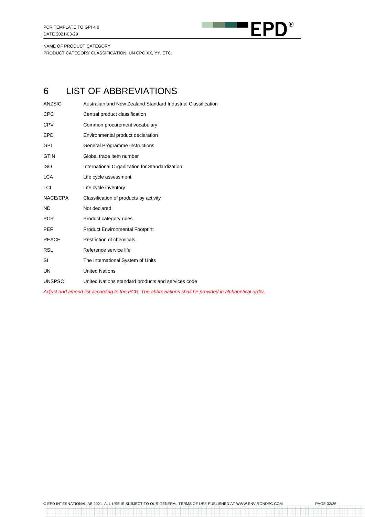

# <span id="page-31-0"></span>6 LIST OF ABBREVIATIONS

| <b>ANZSIC</b> | Australian and New Zealand Standard Industrial Classification |
|---------------|---------------------------------------------------------------|
| <b>CPC</b>    | Central product classification                                |
| <b>CPV</b>    | Common procurement vocabulary                                 |
| <b>EPD</b>    | Environmental product declaration                             |
| GPI           | General Programme Instructions                                |
| <b>GTIN</b>   | Global trade item number                                      |
| <b>ISO</b>    | International Organization for Standardization                |
| <b>LCA</b>    | Life cycle assessment                                         |
| LCI           | Life cycle inventory                                          |
| NACE/CPA      | Classification of products by activity                        |
| <b>ND</b>     | Not declared                                                  |
| <b>PCR</b>    | Product category rules                                        |
| <b>PEF</b>    | <b>Product Environmental Footprint</b>                        |
| <b>REACH</b>  | <b>Restriction of chemicals</b>                               |
| <b>RSL</b>    | Reference service life                                        |
| SI            | The International System of Units                             |
| <b>UN</b>     | <b>United Nations</b>                                         |
| <b>UNSPSC</b> | United Nations standard products and services code            |

*Adjust and amend list according to the PCR. The abbreviations shall be provided in alphabetical order.*

----------<br>---------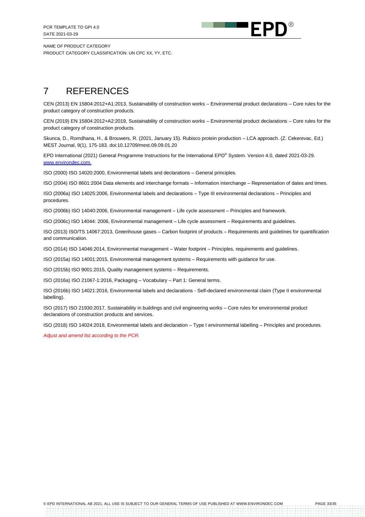

# <span id="page-32-0"></span>7 REFERENCES

CEN (2013) EN 15804:2012+A1:2013, Sustainability of construction works – Environmental product declarations – Core rules for the product category of construction products.

CEN (2019) EN 15804:2012+A2:2019, Sustainability of construction works – Environmental product declarations – Core rules for the product category of construction products.

Skunca, D., Romdhana, H., & Brouwers, R. (2021, January 15). Rubisco protein production – LCA approach. (Z. Cekerevac, Ed.) MEST Journal, 9(1), 175-183. doi:10.12709/mest.09.09.01.20

EPD International (2021) General Programme Instructions for the International EPD® System. Version 4.0, dated 2021-03-29. [www.environdec.com.](http://www.environdec.com/)

ISO (2000) ISO 14020:2000, Environmental labels and declarations – General principles.

ISO (2004) ISO 8601:2004 Data elements and interchange formats – Information interchange – Representation of dates and times.

ISO (2006a) ISO 14025:2006, Environmental labels and declarations – Type III environmental declarations – Principles and procedures.

ISO (2006b) ISO 14040:2006, Environmental management – Life cycle assessment – Principles and framework.

ISO (2006c) ISO 14044: 2006, Environmental management – Life cycle assessment – Requirements and guidelines.

ISO (2013) ISO/TS 14067:2013, Greenhouse gases – Carbon footprint of products – Requirements and guidelines for quantification and communication.

ISO (2014) ISO 14046:2014, Environmental management – Water footprint – Principles, requirements and guidelines.

ISO (2015a) ISO 14001:2015, Environmental management systems – Requirements with guidance for use.

ISO (2015b) ISO 9001:2015, Quality management systems – Requirements.

ISO (2016a) ISO 21067-1:2016, Packaging – Vocabulary – Part 1: General terms.

ISO (2016b) ISO 14021:2016, Environmental labels and declarations - Self-declared environmental claim (Type II environmental labelling).

ISO (2017) ISO 21930:2017, Sustainability in buildings and civil engineering works – Core rules for environmental product declarations of construction products and services.

ISO (2018) ISO 14024:2018, Environmental labels and declaration – Type I environmental labelling – Principles and procedures.

*Adjust and amend list according to the PCR.*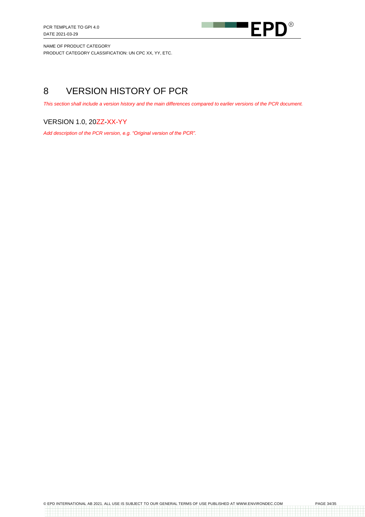

# <span id="page-33-0"></span>8 VERSION HISTORY OF PCR

*This section shall include a version history and the main differences compared to earlier versions of the PCR document.*

## VERSION 1.0, 20ZZ-XX-YY

*Add description of the PCR version, e.g. "Original version of the PCR".*

a da barrara